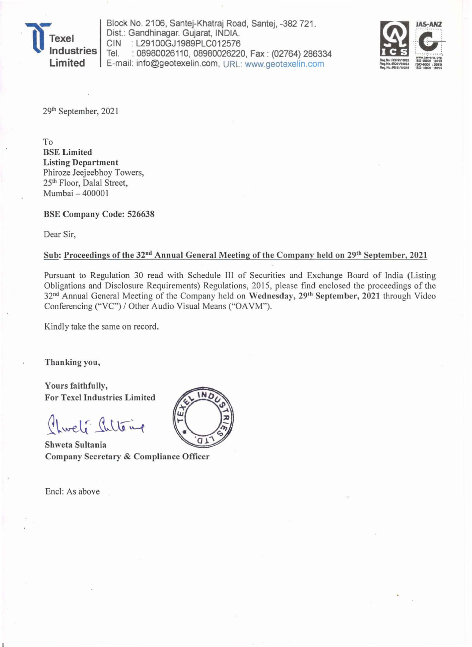

Block No. 2106, Santej-Khatraj Road, Santej, -382 721. Dist.: Gandhinagar. Gujarat, INDIA.<br>CIN : L29100GJ1989PLC012576 CIN : L29100GJ1989PLC012576<br>Tel. : 08980026110.08980026220 : 08980026110, 08980026220, Fax: (02764) 286334 E-mail: info@geotexelin.com , URL: www.geotexelin.com



29th September, 2021

To BSE Limited Listing Department Phiroze Jeejeebhoy Towers, 25<sup>th</sup> Floor, Dalal Street, Mumbai - 400001

BSE Company Code: 526638

Dear Sir,

## Sub: Proceedings of the 32<sup>nd</sup> Annual General Meeting of the Company held on 29<sup>th</sup> September, 2021

Pursuant to Regulation 30 read with Schedule III of Securities and Exchange Board of India (Listing Obligations and Disclosure Requirements) Regulations, 2015, please find enclosed the proceedings of the 32<sup>nd</sup> Annual General Meeting of the Company held on Wednesday, 29<sup>th</sup> September, 2021 through Video Conferencing ("VC") / Other Audio Visual Means ("OA VM").

Kindly take the same on record.

Thanking you,

Yours faithfully, For Texel Industries Limited

Chweli Sulteng

Shweta Sultania Company Secretary & Compliance Officer

Encl: As above

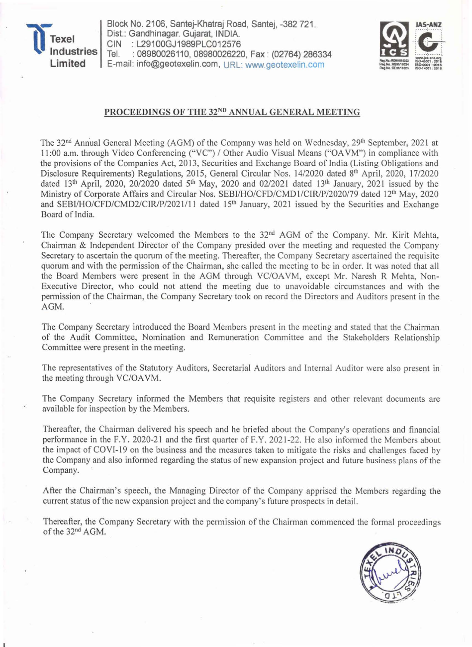

Block No. 2106, Santej-Khatraj Road, Santej, -382 721. Dist.: Gandhinagar. Gujarat, INDIA. CIN : L29100GJ1989PLC012576 Tel. : 08980026110, 08980026220, Fax: (02764) 286334 E-mail: info@geotexelin.com, URL: www.geotexelin.com



## PROCEEDINGS OF THE 32ND ANNUAL GENERAL MEETING

The 32<sup>nd</sup> Annual General Meeting (AGM) of the Company was held on Wednesday, 29<sup>th</sup> September, 2021 at 11:00 a.m. through Video Conferencing ("VC") / Other Audio Visual Means ("OA VM") in compliance with the provisions of the Companies Act, 2013, Securities and Exchange Board of India (Listing Obligations and Disclosure Requirements) Regulations, 2015, General Circular Nos. 14/2020 dated 8<sup>th</sup> April, 2020, 17/2020 dated 13<sup>th</sup> April, 2020, 20/2020 dated 5<sup>th</sup> May, 2020 and 02/2021 dated 13<sup>th</sup> January, 2021 issued by the Ministry of Corporate Affairs and Circular Nos. SEBI/HO/CFD/CMD1/CIR/P/2020/79 dated 12<sup>th</sup> May, 2020 and SEBI/HO/CFD/CMD2/CIR/P/2021/11 dated 15<sup>th</sup> January, 2021 issued by the Securities and Exchange Board of India.

The Company Secretary welcomed the Members to the 32<sup>nd</sup> AGM of the Company. Mr. Kirit Mehta, Chairman & Independent Director of the Company presided over the meeting and requested the Company Secretary to ascertain the quorum of the meeting. Thereafter, the Company Secretary ascertained the requisite quorum and with the permission of the Chairman, she called the meeting to be in order. It was noted that all the Board Members were present in the AGM through VC/OAVM, except Mr. Naresh R Mehta, Non-Executive Director, who could not attend the meeting due to unavoidable circumstances and with the permission of the Chairman, the Company Secretary took on record the Directors and Auditors present in the AGM.

The Company Secretary introduced the Board Members present in the meeting and stated that the Chairman of the Audit Committee, Nomination and Remuneration Committee and the Stakeholders Relationship Committee were present in the meeting.

The representatives of the Statutory Auditors, Secretarial Auditors and Internal Auditor were also present in the meeting through VC/OA VM.

The Company Secretary informed the Members that requisite registers and other relevant documents are available for inspection by the Members.

Thereafter, the Chairman delivered his speech and he briefed about the Company's operations and financial performance in the F.Y. 2020-21 and the first quarter of F.Y. 2021-22. He also informed the Members about the impact of COVI-19 on the business and the measures taken to mitigate the risks and challenges faced by the Company and also informed regarding the status of new expansion project and future business plans of the Company.

After the Chairman's speech, the Managing Director of the Company apprised the Members regarding the current status of the new expansion project and the company's future prospects in detail.

Thereafter, the Company Secretary with the permission of the Chairman commenced the formal proceedings of the 32nd AGM.

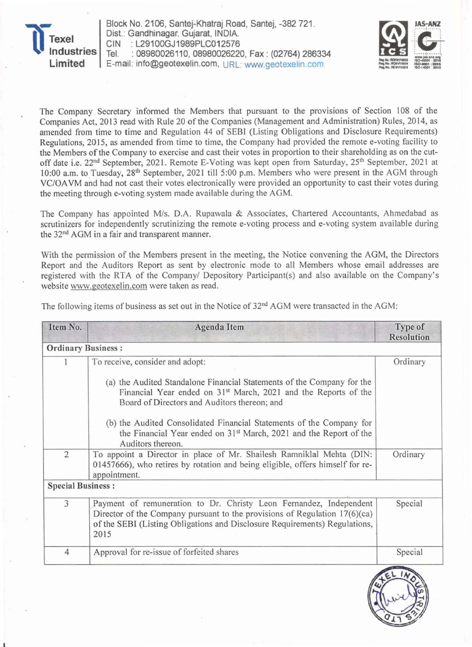

Block No. 2106, Santej-Khatraj Road, Santej, -382 721 . Dist.: Gandhinagar. Gujarat, INDIA. CIN : L29100GJ1989PLC012576 Tel. : 08980026110, 08980026220, Fax: (02764) 286334 E-mail: info@geotexelin.com, URL: www.geotexelin.com



The Company Secretary informed the Members that pursuant to the provisions of Section 108 of the Companies Act, 2013 read with Rule 20 of the Companies (Management and Administration) Rules, 2014, as amended from time to time and Regulation 44 of SEBI (Listing Obligations and Disclosure Requirements) Regulations, 2015, as amended from time to time, the Company had provided the remote e-voting facility to the Members of the Company to exercise and cast their votes in proportion to their shareholding as on the cutoff date i.e. 22<sup>nd</sup> September, 2021. Remote E-Voting was kept open from Saturday, 25<sup>th</sup> September, 2021 at 10:00 a.m. to Tuesday, 28th September, 2021 till 5:00 p.m. Members who were present in the AGM through VCIOA VM and had not cast their votes electronically were provided an opportunity to cast their votes during the meeting through e-voting system made available during the AGM.

The Company has appointed M/s, D.A. Rupawala & Associates, Chartered Accountants, Ahmedabad as scrutinizers for independently scrutinizing the remote e-voting process and e-voting system available during the 32<sup>nd</sup> AGM in a fair and transparent manner.

With the permission of the Members present in the meeting, the Notice convening the AGM, the Directors Report and the Auditors Report as sent by electronic mode to all Members whose email addresses are registered with the RTA of the Companyl Depository Participant(s) and also available on the Company's website www.geotexelin.com were taken as read.

| Item No.                  | <b>Agenda Item</b>                                                                                                                                                                                                                       | Type of<br><b>Resolution</b> |
|---------------------------|------------------------------------------------------------------------------------------------------------------------------------------------------------------------------------------------------------------------------------------|------------------------------|
| <b>Ordinary Business:</b> |                                                                                                                                                                                                                                          |                              |
|                           | To receive, consider and adopt:                                                                                                                                                                                                          | Ordinary                     |
|                           | (a) the Audited Standalone Financial Statements of the Company for the<br>Financial Year ended on 31 <sup>st</sup> March, 2021 and the Reports of the<br>Board of Directors and Auditors thereon; and                                    |                              |
|                           | (b) the Audited Consolidated Financial Statements of the Company for<br>the Financial Year ended on 31 <sup>st</sup> March, 2021 and the Report of the<br>Auditors thereon.                                                              |                              |
| $\overline{2}$            | To appoint a Director in place of Mr. Shailesh Ramniklal Mehta (DIN:<br>01457666), who retires by rotation and being eligible, offers himself for re-<br>appointment.                                                                    | Ordinary                     |
| <b>Special Business:</b>  |                                                                                                                                                                                                                                          |                              |
| 3                         | Payment of remuneration to Dr. Christy Leon Fernandez, Independent<br>Director of the Company pursuant to the provisions of Regulation $17(6)(ca)$<br>of the SEBI (Listing Obligations and Disclosure Requirements) Regulations,<br>2015 | Special                      |
| $\overline{4}$            | Approval for re-issue of forfeited shares                                                                                                                                                                                                | Special                      |

The following items of business as set out in the Notice of 32<sup>nd</sup> AGM were transacted in the AGM: